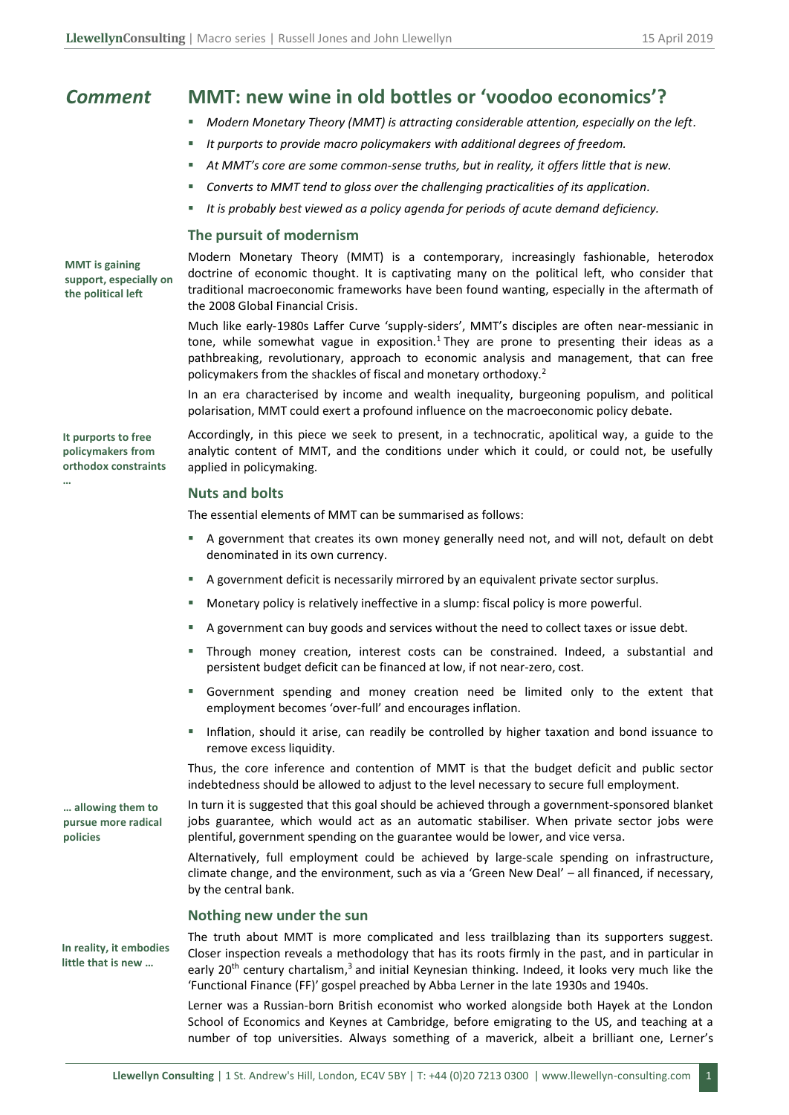# *Comment* **MMT: new wine in old bottles or 'voodoo economics'?**

- *Modern Monetary Theory (MMT) is attracting considerable attention, especially on the left.*
- *It purports to provide macro policymakers with additional degrees of freedom.*
- *At MMT's core are some common-sense truths, but in reality, it offers little that is new.*
- Converts to MMT *tend to gloss over the challenging practicalities of its application*.
- It is probably best viewed as a policy agenda for periods of acute demand deficiency.

#### **The pursuit of modernism**

Modern Monetary Theory (MMT) is a contemporary, increasingly fashionable, heterodox doctrine of economic thought. It is captivating many on the political left, who consider that traditional macroeconomic frameworks have been found wanting, especially in the aftermath of the 2008 Global Financial Crisis.

Much like early-1980s Laffer Curve 'supply-siders', MMT's disciples are often near-messianic in tone, while somewhat vague in exposition.<sup>1</sup> They are prone to presenting their ideas as a pathbreaking, revolutionary, approach to economic analysis and management, that can free policymakers from the shackles of fiscal and monetary orthodoxy. 2

In an era characterised by income and wealth inequality, burgeoning populism, and political polarisation, MMT could exert a profound influence on the macroeconomic policy debate.

Accordingly, in this piece we seek to present, in a technocratic, apolitical way, a guide to the analytic content of MMT, and the conditions under which it could, or could not, be usefully applied in policymaking.

#### **Nuts and bolts**

The essential elements of MMT can be summarised as follows:

- A government that creates its own money generally need not, and will not, default on debt denominated in its own currency.
- A government deficit is necessarily mirrored by an equivalent private sector surplus.
- Monetary policy is relatively ineffective in a slump: fiscal policy is more powerful.
- A government can buy goods and services without the need to collect taxes or issue debt.
- Through money creation, interest costs can be constrained. Indeed, a substantial and persistent budget deficit can be financed at low, if not near-zero, cost.
- Government spending and money creation need be limited only to the extent that employment becomes 'over-full' and encourages inflation.
- Inflation, should it arise, can readily be controlled by higher taxation and bond issuance to remove excess liquidity.

Thus, the core inference and contention of MMT is that the budget deficit and public sector indebtedness should be allowed to adjust to the level necessary to secure full employment.

In turn it is suggested that this goal should be achieved through a government-sponsored blanket jobs guarantee, which would act as an automatic stabiliser. When private sector jobs were plentiful, government spending on the guarantee would be lower, and vice versa.

Alternatively, full employment could be achieved by large-scale spending on infrastructure, climate change, and the environment, such as via a 'Green New Deal' – all financed, if necessary, by the central bank.

# **Nothing new under the sun**

The truth about MMT is more complicated and less trailblazing than its supporters suggest. Closer inspection reveals a methodology that has its roots firmly in the past, and in particular in early 20<sup>th</sup> century chartalism,<sup>3</sup> and initial Keynesian thinking. Indeed, it looks very much like the 'Functional Finance (FF)' gospel preached by Abba Lerner in the late 1930s and 1940s.

Lerner was a Russian-born British economist who worked alongside both Hayek at the London School of Economics and Keynes at Cambridge, before emigrating to the US, and teaching at a number of top universities. Always something of a maverick, albeit a brilliant one, Lerner's

**MMT is gaining support, especially on the political left**

**It purports to free policymakers from orthodox constraints** 

**…**

**… allowing them to pursue more radical policies** 

**In reality, it embodies**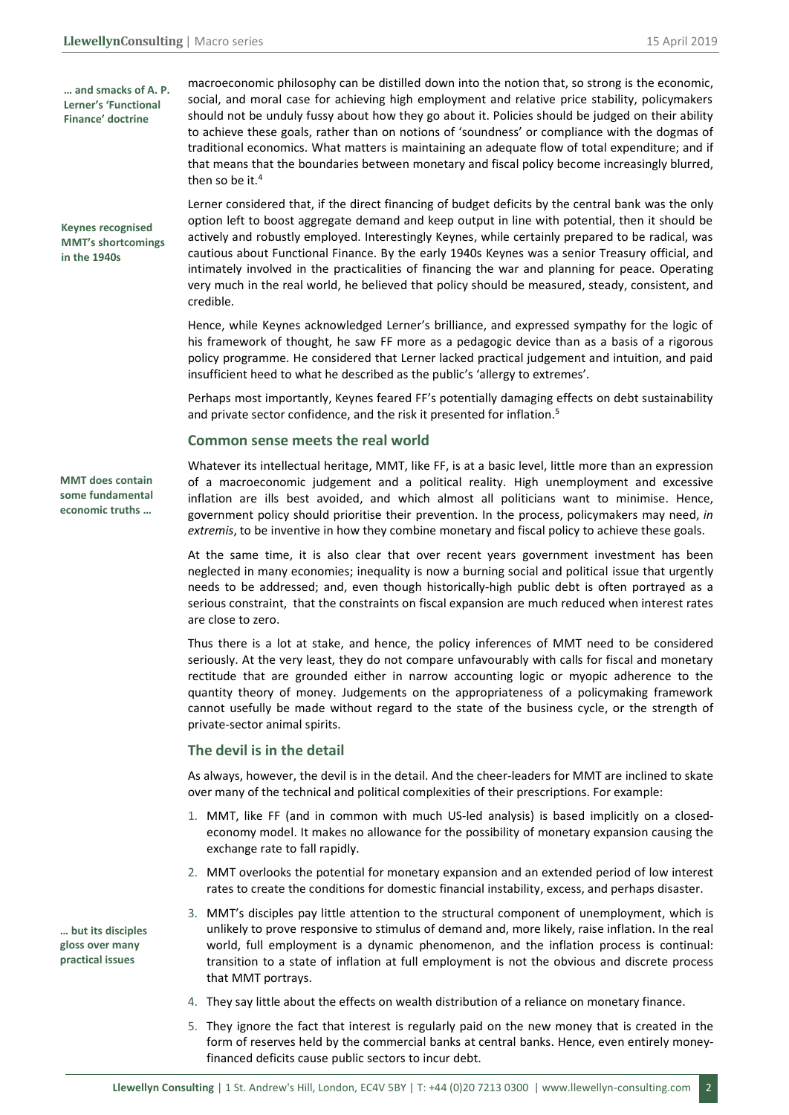**… and smacks of A. P. Lerner's 'Functional Finance' doctrine**

**Keynes recognised MMT's shortcomings in the 1940s** 

macroeconomic philosophy can be distilled down into the notion that, so strong is the economic, social, and moral case for achieving high employment and relative price stability, policymakers should not be unduly fussy about how they go about it. Policies should be judged on their ability to achieve these goals, rather than on notions of 'soundness' or compliance with the dogmas of traditional economics. What matters is maintaining an adequate flow of total expenditure; and if that means that the boundaries between monetary and fiscal policy become increasingly blurred, then so be it.<sup>4</sup>

Lerner considered that, if the direct financing of budget deficits by the central bank was the only option left to boost aggregate demand and keep output in line with potential, then it should be actively and robustly employed. Interestingly Keynes, while certainly prepared to be radical, was cautious about Functional Finance. By the early 1940s Keynes was a senior Treasury official, and intimately involved in the practicalities of financing the war and planning for peace. Operating very much in the real world, he believed that policy should be measured, steady, consistent, and credible.

Hence, while Keynes acknowledged Lerner's brilliance, and expressed sympathy for the logic of his framework of thought, he saw FF more as a pedagogic device than as a basis of a rigorous policy programme. He considered that Lerner lacked practical judgement and intuition, and paid insufficient heed to what he described as the public's 'allergy to extremes'.

Perhaps most importantly, Keynes feared FF's potentially damaging effects on debt sustainability and private sector confidence, and the risk it presented for inflation. 5

#### **Common sense meets the real world**

**MMT does contain some fundamental economic truths …**

**… but its disciples gloss over many practical issues** 

Whatever its intellectual heritage, MMT, like FF, is at a basic level, little more than an expression of a macroeconomic judgement and a political reality. High unemployment and excessive inflation are ills best avoided, and which almost all politicians want to minimise. Hence, government policy should prioritise their prevention. In the process, policymakers may need, *in extremis*, to be inventive in how they combine monetary and fiscal policy to achieve these goals.

At the same time, it is also clear that over recent years government investment has been neglected in many economies; inequality is now a burning social and political issue that urgently needs to be addressed; and, even though historically-high public debt is often portrayed as a serious constraint, that the constraints on fiscal expansion are much reduced when interest rates are close to zero.

Thus there is a lot at stake, and hence, the policy inferences of MMT need to be considered seriously. At the very least, they do not compare unfavourably with calls for fiscal and monetary rectitude that are grounded either in narrow accounting logic or myopic adherence to the quantity theory of money. Judgements on the appropriateness of a policymaking framework cannot usefully be made without regard to the state of the business cycle, or the strength of private-sector animal spirits.

# **The devil is in the detail**

As always, however, the devil is in the detail. And the cheer-leaders for MMT are inclined to skate over many of the technical and political complexities of their prescriptions. For example:

- 1. MMT, like FF (and in common with much US-led analysis) is based implicitly on a closedeconomy model. It makes no allowance for the possibility of monetary expansion causing the exchange rate to fall rapidly.
- 2. MMT overlooks the potential for monetary expansion and an extended period of low interest rates to create the conditions for domestic financial instability, excess, and perhaps disaster.
- 3. MMT's disciples pay little attention to the structural component of unemployment, which is unlikely to prove responsive to stimulus of demand and, more likely, raise inflation. In the real world, full employment is a dynamic phenomenon, and the inflation process is continual: transition to a state of inflation at full employment is not the obvious and discrete process that MMT portrays.
- 4. They say little about the effects on wealth distribution of a reliance on monetary finance.
- 5. They ignore the fact that interest is regularly paid on the new money that is created in the form of reserves held by the commercial banks at central banks. Hence, even entirely moneyfinanced deficits cause public sectors to incur debt.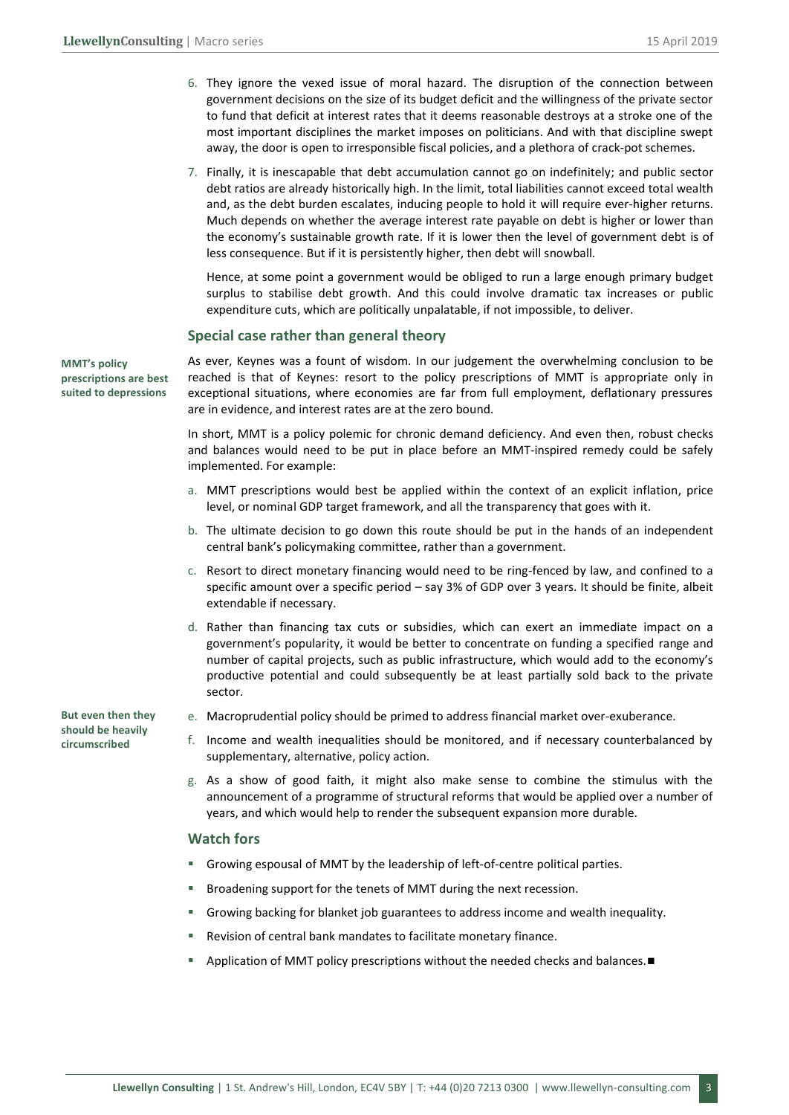- 6. They ignore the vexed issue of moral hazard. The disruption of the connection between government decisions on the size of its budget deficit and the willingness of the private sector to fund that deficit at interest rates that it deems reasonable destroys at a stroke one of the most important disciplines the market imposes on politicians. And with that discipline swept away, the door is open to irresponsible fiscal policies, and a plethora of crack-pot schemes.
- 7. Finally, it is inescapable that debt accumulation cannot go on indefinitely; and public sector debt ratios are already historically high. In the limit, total liabilities cannot exceed total wealth and, as the debt burden escalates, inducing people to hold it will require ever-higher returns. Much depends on whether the average interest rate payable on debt is higher or lower than the economy's sustainable growth rate. If it is lower then the level of government debt is of less consequence. But if it is persistently higher, then debt will snowball.

Hence, at some point a government would be obliged to run a large enough primary budget surplus to stabilise debt growth. And this could involve dramatic tax increases or public expenditure cuts, which are politically unpalatable, if not impossible, to deliver.

#### **Special case rather than general theory**

**MMT's policy prescriptions are best suited to depressions** 

As ever, Keynes was a fount of wisdom. In our judgement the overwhelming conclusion to be reached is that of Keynes: resort to the policy prescriptions of MMT is appropriate only in exceptional situations, where economies are far from full employment, deflationary pressures are in evidence, and interest rates are at the zero bound.

In short, MMT is a policy polemic for chronic demand deficiency. And even then, robust checks and balances would need to be put in place before an MMT-inspired remedy could be safely implemented. For example:

- a. MMT prescriptions would best be applied within the context of an explicit inflation, price level, or nominal GDP target framework, and all the transparency that goes with it.
- b. The ultimate decision to go down this route should be put in the hands of an independent central bank's policymaking committee, rather than a government.
- c. Resort to direct monetary financing would need to be ring-fenced by law, and confined to a specific amount over a specific period – say 3% of GDP over 3 years. It should be finite, albeit extendable if necessary.
- d. Rather than financing tax cuts or subsidies, which can exert an immediate impact on a government's popularity, it would be better to concentrate on funding a specified range and number of capital projects, such as public infrastructure, which would add to the economy's productive potential and could subsequently be at least partially sold back to the private sector.

**But even then they should be heavily circumscribed**

- e. Macroprudential policy should be primed to address financial market over-exuberance.
- f. Income and wealth inequalities should be monitored, and if necessary counterbalanced by supplementary, alternative, policy action.
- g. As a show of good faith, it might also make sense to combine the stimulus with the announcement of a programme of structural reforms that would be applied over a number of years, and which would help to render the subsequent expansion more durable.

# **Watch fors**

- Growing espousal of MMT by the leadership of left-of-centre political parties.
- Broadening support for the tenets of MMT during the next recession.
- Growing backing for blanket job guarantees to address income and wealth inequality.
- Revision of central bank mandates to facilitate monetary finance.
- Application of MMT policy prescriptions without the needed checks and balances.■